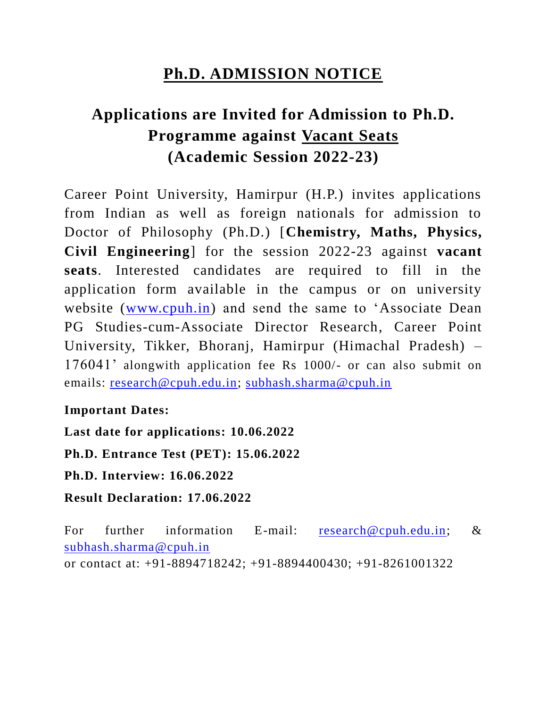## **Ph.D. ADMISSION NOTICE**

# **Applications are Invited for Admission to Ph.D. Programme against Vacant Seats (Academic Session 2022-23)**

Career Point University, Hamirpur (H.P.) invites applications from Indian as well as foreign nationals for admission to Doctor of Philosophy (Ph.D.) [**Chemistry, Maths, Physics, Civil Engineering**] for the session 2022-23 against **vacant seats**. Interested candidates are required to fill in the application form available in the campus or on university website [\(www.cpuh.in\)](http://www.cpuh.in/) and send the same to 'Associate Dean PG Studies-cum-Associate Director Research, Career Point University, Tikker, Bhoranj, Hamirpur (Himachal Pradesh) – 176041' alongwith application fee Rs 1000/- or can also submit on emails: [research@cpuh.edu.in;](mailto:research@cpuh.edu.in) [subhash.sharma@cpuh.in](mailto:subhash.sharma@cpuh.in)

### **Important Dates:**

**Last date for applications: 10.06.2022 Ph.D. Entrance Test (PET): 15.06.2022 Ph.D. Interview: 16.06.2022 Result Declaration: 17.06.2022**

For further information E-mail: [research@cpuh.edu.in;](mailto:research@cpuh.edu.in) & [subhash.sharma@cpuh.in](mailto:subhash.sharma@cpuh.in) or contact at: +91-8894718242; +91-8894400430; +91-8261001322